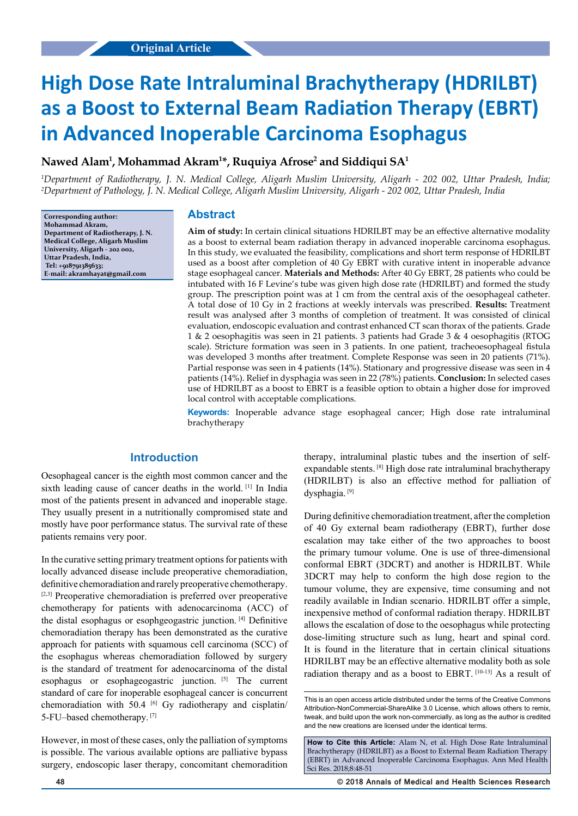# **High Dose Rate Intraluminal Brachytherapy (HDRILBT) as a Boost to External Beam Radiation Therapy (EBRT) in Advanced Inoperable Carcinoma Esophagus**

# **Nawed Alam1 , Mohammad Akram1 \*, Ruquiya Afrose2 and Siddiqui SA1**

*1 Department of Radiotherapy, J. N. Medical College, Aligarh Muslim University, Aligarh - 202 002, Uttar Pradesh, India; 2 Department of Pathology, J. N. Medical College, Aligarh Muslim University, Aligarh - 202 002, Uttar Pradesh, India*

**Corresponding author: Mohammad Akram, Department of Radiotherapy, J. N. Medical College, Aligarh Muslim University, Aligarh - 202 002, Uttar Pradesh, India, Tel: +918791385633; E-mail: akramhayat@gmail.com**

#### **Abstract**

**Aim of study:** In certain clinical situations HDRILBT may be an effective alternative modality as a boost to external beam radiation therapy in advanced inoperable carcinoma esophagus. In this study, we evaluated the feasibility, complications and short term response of HDRILBT used as a boost after completion of 40 Gy EBRT with curative intent in inoperable advance stage esophageal cancer. **Materials and Methods:** After 40 Gy EBRT, 28 patients who could be intubated with 16 F Levine's tube was given high dose rate (HDRILBT) and formed the study group. The prescription point was at  $1 \text{ cm}$  from the central axis of the oesophageal catheter. A total dose of 10 Gy in 2 fractions at weekly intervals was prescribed. **Results:** Treatment result was analysed after 3 months of completion of treatment. It was consisted of clinical evaluation, endoscopic evaluation and contrast enhanced CT scan thorax of the patients. Grade 1 & 2 oesophagitis was seen in 21 patients. 3 patients had Grade 3 & 4 oesophagitis (RTOG scale). Stricture formation was seen in 3 patients. In one patient, tracheoesophageal fistula was developed 3 months after treatment. Complete Response was seen in 20 patients (71%). Partial response was seen in 4 patients (14%). Stationary and progressive disease was seen in 4 patients (14%). Relief in dysphagia was seen in 22 (78%) patients. **Conclusion:** In selected cases use of HDRILBT as a boost to EBRT is a feasible option to obtain a higher dose for improved local control with acceptable complications.

**Keywords:** Inoperable advance stage esophageal cancer; High dose rate intraluminal brachytherapy

## **Introduction**

Oesophageal cancer is the eighth most common cancer and the sixth leading cause of cancer deaths in the world. [1] In India most of the patients present in advanced and inoperable stage. They usually present in a nutritionally compromised state and mostly have poor performance status. The survival rate of these patients remains very poor.

In the curative setting primary treatment options for patients with locally advanced disease include preoperative chemoradiation, definitive chemoradiation and rarely preoperative chemotherapy. [2,3] Preoperative chemoradiation is preferred over preoperative chemotherapy for patients with adenocarcinoma (ACC) of the distal esophagus or esophgeogastric junction. [4] Definitive chemoradiation therapy has been demonstrated as the curative approach for patients with squamous cell carcinoma (SCC) of the esophagus whereas chemoradiation followed by surgery is the standard of treatment for adenocarcinoma of the distal esophagus or esophageogastric junction. [5] The current standard of care for inoperable esophageal cancer is concurrent chemoradiation with 50.4  $^{[6]}$  Gy radiotherapy and cisplatin/ 5-FU–based chemotherapy. [7]

However, in most of these cases, only the palliation of symptoms is possible. The various available options are palliative bypass surgery, endoscopic laser therapy, concomitant chemoradition

therapy, intraluminal plastic tubes and the insertion of selfexpandable stents. [8] High dose rate intraluminal brachytherapy (HDRILBT) is also an effective method for palliation of dysphagia. [9]

During definitive chemoradiation treatment, after the completion of 40 Gy external beam radiotherapy (EBRT), further dose escalation may take either of the two approaches to boost the primary tumour volume. One is use of three-dimensional conformal EBRT (3DCRT) and another is HDRILBT. While 3DCRT may help to conform the high dose region to the tumour volume, they are expensive, time consuming and not readily available in Indian scenario. HDRILBT offer a simple, inexpensive method of conformal radiation therapy. HDRILBT allows the escalation of dose to the oesophagus while protecting dose-limiting structure such as lung, heart and spinal cord. It is found in the literature that in certain clinical situations HDRILBT may be an effective alternative modality both as sole radiation therapy and as a boost to EBRT. [10-13] As a result of

This is an open access article distributed under the terms of the Creative Commons Attribution‑NonCommercial‑ShareAlike 3.0 License, which allows others to remix tweak, and build upon the work non‑commercially, as long as the author is credited and the new creations are licensed under the identical terms.

**How to Cite this Article:** Alam N, et al. High Dose Rate Intraluminal Brachytherapy (HDRILBT) as a Boost to External Beam Radiation Therapy (EBRT) in Advanced Inoperable Carcinoma Esophagus. Ann Med Health Sci Res. 2018;8:48-51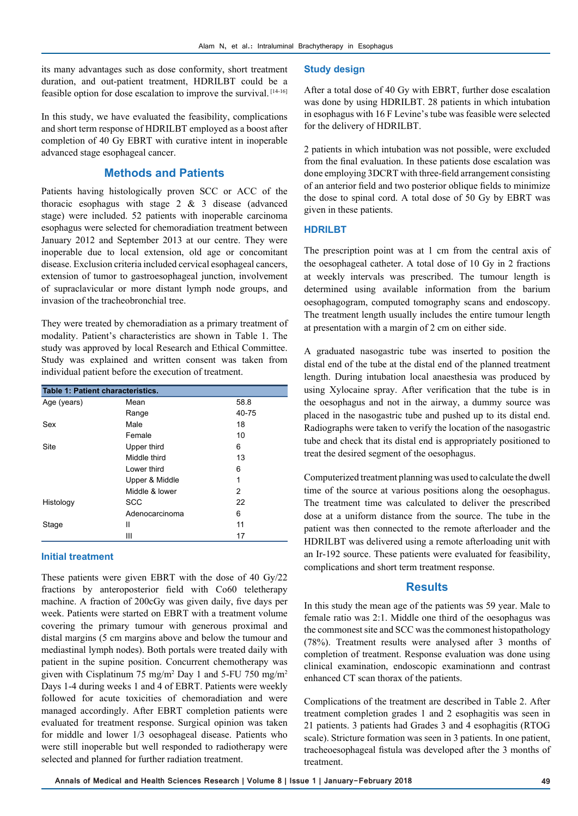its many advantages such as dose conformity, short treatment duration, and out-patient treatment, HDRILBT could be a feasible option for dose escalation to improve the survival. [14-16]

In this study, we have evaluated the feasibility, complications and short term response of HDRILBT employed as a boost after completion of 40 Gy EBRT with curative intent in inoperable advanced stage esophageal cancer.

## **Methods and Patients**

Patients having histologically proven SCC or ACC of the thoracic esophagus with stage 2 & 3 disease (advanced stage) were included. 52 patients with inoperable carcinoma esophagus were selected for chemoradiation treatment between January 2012 and September 2013 at our centre. They were inoperable due to local extension, old age or concomitant disease. Exclusion criteria included cervical esophageal cancers, extension of tumor to gastroesophageal junction, involvement of supraclavicular or more distant lymph node groups, and invasion of the tracheobronchial tree.

They were treated by chemoradiation as a primary treatment of modality. Patient's characteristics are shown in Table 1. The study was approved by local Research and Ethical Committee. Study was explained and written consent was taken from individual patient before the execution of treatment.

| Table 1: Patient characteristics. |                |           |  |
|-----------------------------------|----------------|-----------|--|
| Age (years)                       | Mean           | 58.8      |  |
|                                   | Range          | $40 - 75$ |  |
| Sex                               | Male           | 18        |  |
|                                   | Female         | 10        |  |
| Site                              | Upper third    | 6         |  |
|                                   | Middle third   | 13        |  |
|                                   | Lower third    | 6         |  |
|                                   | Upper & Middle | 1         |  |
|                                   | Middle & lower | 2         |  |
| Histology                         | <b>SCC</b>     | 22        |  |
|                                   | Adenocarcinoma | 6         |  |
| Stage                             | Ш              | 11        |  |
|                                   | Ш              | 17        |  |

#### **Initial treatment**

These patients were given EBRT with the dose of 40 Gy/22 fractions by anteroposterior field with Co60 teletherapy machine. A fraction of 200cGy was given daily, five days per week. Patients were started on EBRT with a treatment volume covering the primary tumour with generous proximal and distal margins (5 cm margins above and below the tumour and mediastinal lymph nodes). Both portals were treated daily with patient in the supine position. Concurrent chemotherapy was given with Cisplatinum 75 mg/m<sup>2</sup> Day 1 and 5-FU 750 mg/m<sup>2</sup> Days 1-4 during weeks 1 and 4 of EBRT. Patients were weekly followed for acute toxicities of chemoradiation and were managed accordingly. After EBRT completion patients were evaluated for treatment response. Surgical opinion was taken for middle and lower 1/3 oesophageal disease. Patients who were still inoperable but well responded to radiotherapy were selected and planned for further radiation treatment.

#### **Study design**

After a total dose of 40 Gy with EBRT, further dose escalation was done by using HDRILBT. 28 patients in which intubation in esophagus with 16 F Levine's tube was feasible were selected for the delivery of HDRILBT.

2 patients in which intubation was not possible, were excluded from the final evaluation. In these patients dose escalation was done employing 3DCRT with three-field arrangement consisting of an anterior field and two posterior oblique fields to minimize the dose to spinal cord. A total dose of 50 Gy by EBRT was given in these patients.

#### **HDRILBT**

The prescription point was at 1 cm from the central axis of the oesophageal catheter. A total dose of 10 Gy in 2 fractions at weekly intervals was prescribed. The tumour length is determined using available information from the barium oesophagogram, computed tomography scans and endoscopy. The treatment length usually includes the entire tumour length at presentation with a margin of 2 cm on either side.

A graduated nasogastric tube was inserted to position the distal end of the tube at the distal end of the planned treatment length. During intubation local anaesthesia was produced by using Xylocaine spray. After verification that the tube is in the oesophagus and not in the airway, a dummy source was placed in the nasogastric tube and pushed up to its distal end. Radiographs were taken to verify the location of the nasogastric tube and check that its distal end is appropriately positioned to treat the desired segment of the oesophagus.

Computerized treatment planning was used to calculate the dwell time of the source at various positions along the oesophagus. The treatment time was calculated to deliver the prescribed dose at a uniform distance from the source. The tube in the patient was then connected to the remote afterloader and the HDRILBT was delivered using a remote afterloading unit with an Ir-192 source. These patients were evaluated for feasibility, complications and short term treatment response.

#### **Results**

In this study the mean age of the patients was 59 year. Male to female ratio was 2:1. Middle one third of the oesophagus was the commonest site and SCC was the commonest histopathology (78%). Treatment results were analysed after 3 months of completion of treatment. Response evaluation was done using clinical examination, endoscopic examinationn and contrast enhanced CT scan thorax of the patients.

Complications of the treatment are described in Table 2. After treatment completion grades 1 and 2 esophagitis was seen in 21 patients. 3 patients had Grades 3 and 4 esophagitis (RTOG scale). Stricture formation was seen in 3 patients. In one patient, tracheoesophageal fistula was developed after the 3 months of treatment.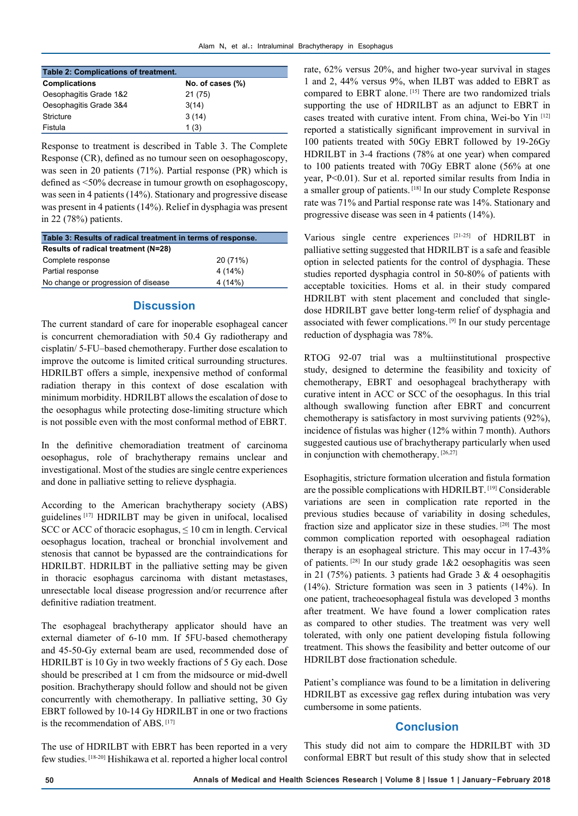| Table 2: Complications of treatment. |                  |  |  |
|--------------------------------------|------------------|--|--|
| <b>Complications</b>                 | No. of cases (%) |  |  |
| Oesophagitis Grade 1&2               | 21 (75)          |  |  |
| Oesophagitis Grade 3&4               | 3(14)            |  |  |
| Stricture                            | 3(14)            |  |  |
| Fistula                              | 1(3)             |  |  |

Response to treatment is described in Table 3. The Complete Response (CR), defined as no tumour seen on oesophagoscopy, was seen in 20 patients (71%). Partial response (PR) which is defined as <50% decrease in tumour growth on esophagoscopy, was seen in 4 patients (14%). Stationary and progressive disease was present in 4 patients (14%). Relief in dysphagia was present in 22 (78%) patients.

| Table 3: Results of radical treatment in terms of response. |          |  |  |
|-------------------------------------------------------------|----------|--|--|
| Results of radical treatment (N=28)                         |          |  |  |
| Complete response                                           | 20 (71%) |  |  |
| Partial response                                            | 4 (14%)  |  |  |
| No change or progression of disease                         | 4 (14%)  |  |  |

## **Discussion**

The current standard of care for inoperable esophageal cancer is concurrent chemoradiation with 50.4 Gy radiotherapy and cisplatin/ 5-FU–based chemotherapy. Further dose escalation to improve the outcome is limited critical surrounding structures. HDRILBT offers a simple, inexpensive method of conformal radiation therapy in this context of dose escalation with minimum morbidity. HDRILBT allows the escalation of dose to the oesophagus while protecting dose-limiting structure which is not possible even with the most conformal method of EBRT.

In the definitive chemoradiation treatment of carcinoma oesophagus, role of brachytherapy remains unclear and investigational. Most of the studies are single centre experiences and done in palliative setting to relieve dysphagia.

According to the American brachytherapy society (ABS) guidelines [17] HDRILBT may be given in unifocal, localised SCC or ACC of thoracic esophagus,  $\leq 10$  cm in length. Cervical oesophagus location, tracheal or bronchial involvement and stenosis that cannot be bypassed are the contraindications for HDRILBT. HDRILBT in the palliative setting may be given in thoracic esophagus carcinoma with distant metastases, unresectable local disease progression and/or recurrence after definitive radiation treatment.

The esophageal brachytherapy applicator should have an external diameter of 6-10 mm. If 5FU-based chemotherapy and 45-50-Gy external beam are used, recommended dose of HDRILBT is 10 Gy in two weekly fractions of 5 Gy each. Dose should be prescribed at 1 cm from the midsource or mid-dwell position. Brachytherapy should follow and should not be given concurrently with chemotherapy. In palliative setting, 30 Gy EBRT followed by 10-14 Gy HDRILBT in one or two fractions is the recommendation of ABS. [17]

The use of HDRILBT with EBRT has been reported in a very few studies. [18-20] Hishikawa et al. reported a higher local control

rate, 62% versus 20%, and higher two-year survival in stages 1 and 2, 44% versus 9%, when ILBT was added to EBRT as compared to EBRT alone. [15] There are two randomized trials supporting the use of HDRILBT as an adjunct to EBRT in cases treated with curative intent. From china, Wei-bo Yin [12] reported a statistically significant improvement in survival in 100 patients treated with 50Gy EBRT followed by 19-26Gy HDRILBT in 3-4 fractions (78% at one year) when compared to 100 patients treated with 70Gy EBRT alone (56% at one year, P<0.01). Sur et al. reported similar results from India in a smaller group of patients. [18] In our study Complete Response rate was 71% and Partial response rate was 14%. Stationary and progressive disease was seen in 4 patients (14%).

Various single centre experiences [21-25] of HDRILBT in palliative setting suggested that HDRILBT is a safe and feasible option in selected patients for the control of dysphagia. These studies reported dysphagia control in 50-80% of patients with acceptable toxicities. Homs et al. in their study compared HDRILBT with stent placement and concluded that singledose HDRILBT gave better long-term relief of dysphagia and associated with fewer complications. [9] In our study percentage reduction of dysphagia was 78%.

RTOG 92-07 trial was a multiinstitutional prospective study, designed to determine the feasibility and toxicity of chemotherapy, EBRT and oesophageal brachytherapy with curative intent in ACC or SCC of the oesophagus. In this trial although swallowing function after EBRT and concurrent chemotherapy is satisfactory in most surviving patients (92%), incidence of fistulas was higher (12% within 7 month). Authors suggested cautious use of brachytherapy particularly when used in conjunction with chemotherapy. [26,27]

Esophagitis, stricture formation ulceration and fistula formation are the possible complications with HDRILBT. [19] Considerable variations are seen in complication rate reported in the previous studies because of variability in dosing schedules, fraction size and applicator size in these studies. [20] The most common complication reported with oesophageal radiation therapy is an esophageal stricture. This may occur in 17-43% of patients.  $[28]$  In our study grade  $1&&2$  oesophagitis was seen in 21 (75%) patients. 3 patients had Grade 3  $\&$  4 oesophagitis (14%). Stricture formation was seen in 3 patients (14%). In one patient, tracheoesophageal fistula was developed 3 months after treatment. We have found a lower complication rates as compared to other studies. The treatment was very well tolerated, with only one patient developing fistula following treatment. This shows the feasibility and better outcome of our HDRILBT dose fractionation schedule.

Patient's compliance was found to be a limitation in delivering HDRILBT as excessive gag reflex during intubation was very cumbersome in some patients.

# **Conclusion**

This study did not aim to compare the HDRILBT with 3D conformal EBRT but result of this study show that in selected